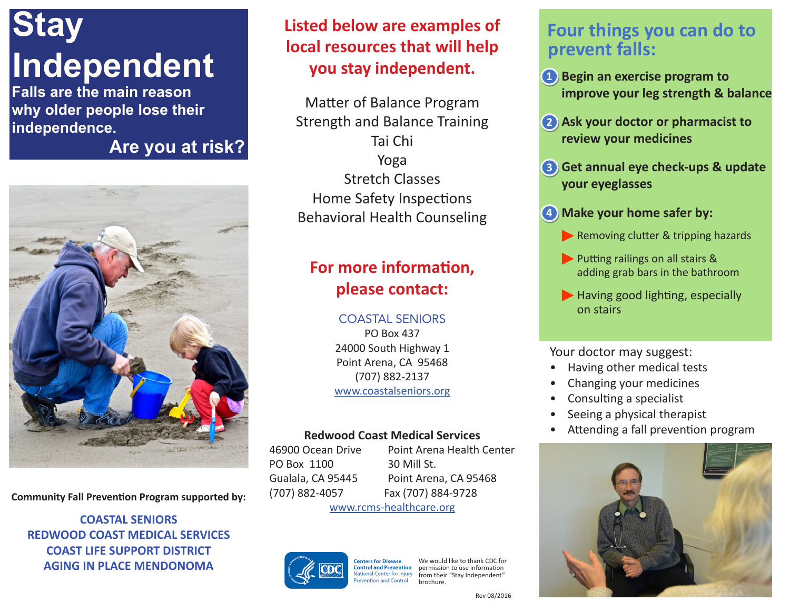# **Stay Independent**

**Falls are the main reason why older people lose their independence.**

**Are you at risk?**



**Community Fall Prevention Program supported by:**

**COASTAL SENIORS REDWOOD COAST MEDICAL SERVICES COAST LIFE SUPPORT DISTRICT AGING IN PLACE MENDONOMA**

## **Listed below are examples of local resources that will help you stay independent.**

Matter of Balance Program Strength and Balance Training Tai Chi Yoga Stretch Classes Home Safety Inspections Behavioral Health Counseling

## **For more information, please contact:**

COASTAL SENIORS PO Box 437 24000 South Highway 1 Point Arena, CA 95468 (707) 882-2137 www.coastalseniors.org

#### **Redwood Coast Medical Services**

46900 Ocean Drive Point Arena Health Center PO Box 1100 30 Mill St. Gualala, CA 95445 Point Arena, CA 95468 (707) 882-4057 Fax (707) 884-9728 www.rcms-healthcare.org



would like to thank CDC for **enters for Disease Control and Prevention** permission to use information ional Center for Injury from their "Stay Independent" ention and Control brochure.

### **Four things you can do to prevent falls:**

- **1**) Begin an exercise program to **improve your leg strength & balance**
- **• Ask your doctor or pharmacist to 2 review your medicines**
- **• Get annual eye check-ups & update 3 your eyeglasses**
- **• Make your home safer by: 4**
	- Removing clutter & tripping hazards
	- Putting railings on all stairs & adding grab bars in the bathroom
	- Having good lighting, especially on stairs

#### Your doctor may suggest:

- Having other medical tests
- Changing your medicines
- Consulting a specialist
- Seeing a physical therapist
- Attending a fall prevention program